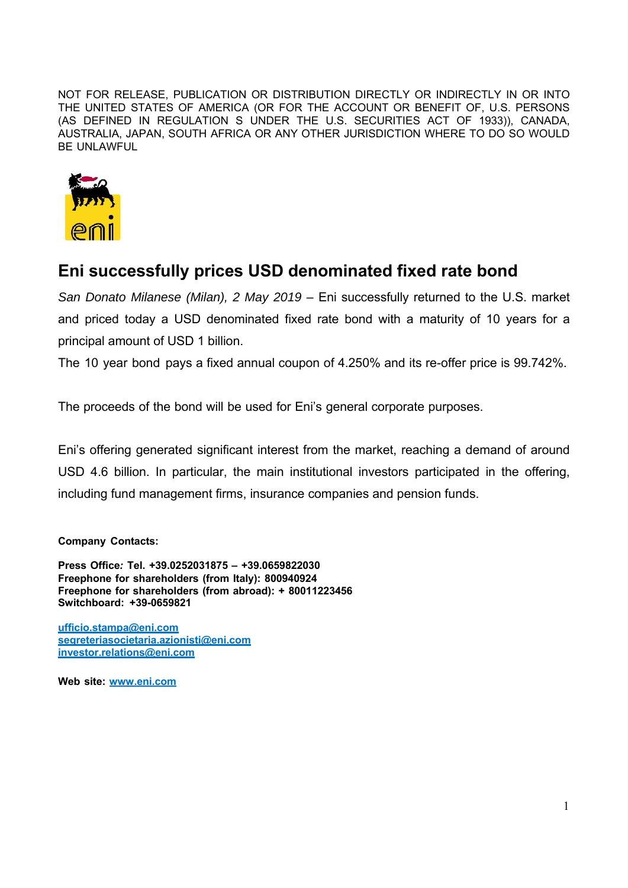NOT FOR RELEASE, PUBLICATION OR DISTRIBUTION DIRECTLY OR INDIRECTLY IN OR INTO THE UNITED STATES OF AMERICA (OR FOR THE ACCOUNT OR BENEFIT OF, U.S. PERSONS (AS DEFINED IN REGULATION S UNDER THE U.S. SECURITIES ACT OF 1933)), CANADA, AUSTRALIA, JAPAN, SOUTH AFRICA OR ANY OTHER JURISDICTION WHERE TO DO SO WOULD BE UNLAWFUL



## **Eni successfully prices USD denominated fixed rate bond**

*San Donato Milanese (Milan), 2 May 2019* – Eni successfully returned to the U.S. market and priced today a USD denominated fixed rate bond with a maturity of 10 years for a principal amount of USD 1 billion.

The 10 year bond pays a fixed annual coupon of 4.250% and its re-offer price is 99.742%.

The proceeds of the bond will be used for Eni's general corporate purposes.

Eni's offering generated significant interest from the market, reaching a demand of around USD 4.6 billion. In particular, the main institutional investors participated in the offering, including fund management firms, insurance companies and pension funds.

## **Company Contacts:**

**Press Office***:* **Tel. +39.0252031875 – +39.0659822030 Freephone for shareholders (from Italy): 800940924 Freephone for shareholders (from abroad): + 80011223456 Switchboard: +39-0659821**

**ufficio.stampa@eni.com segreteriasocietaria.azionisti@eni.com investor.relations@eni.com**

**Web site: www.eni.com**